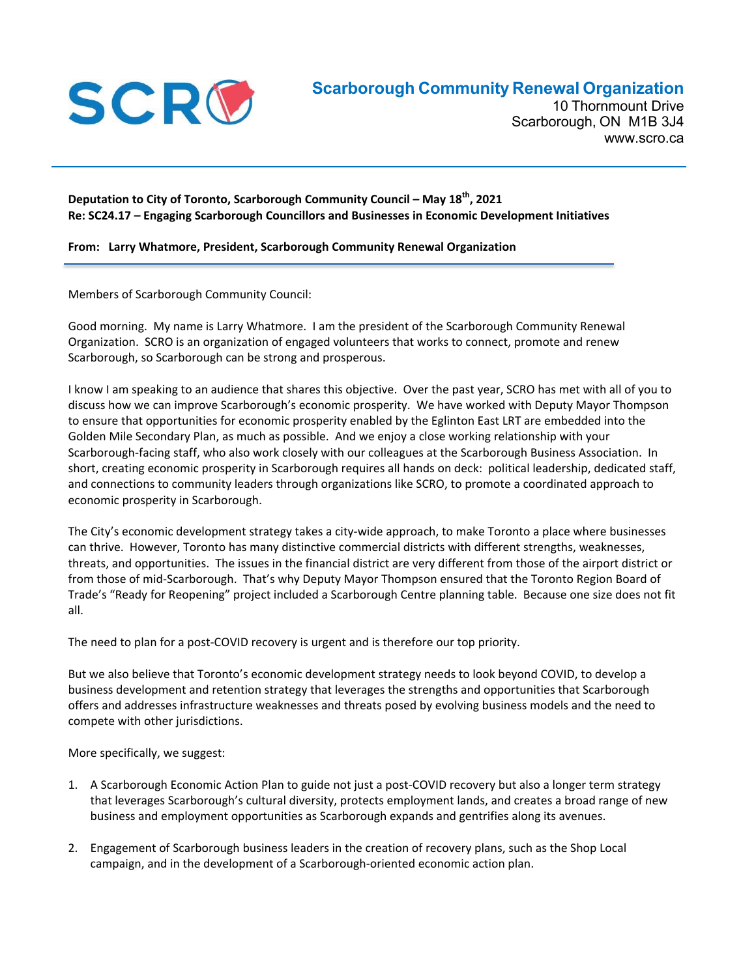

10 Thornmount Drive Scarborough, ON M1B 3J4 www.scro.ca

## **Deputation to City of Toronto, Scarborough Community Council – May 18th, 2021 Re: SC24.17 – Engaging Scarborough Councillors and Businesses in Economic Development Initiatives**

## **From: Larry Whatmore, President, Scarborough Community Renewal Organization**

Members of Scarborough Community Council:

Good morning. My name is Larry Whatmore. I am the president of the Scarborough Community Renewal Organization. SCRO is an organization of engaged volunteers that works to connect, promote and renew Scarborough, so Scarborough can be strong and prosperous.

I know I am speaking to an audience that shares this objective. Over the past year, SCRO has met with all of you to discuss how we can improve Scarborough's economic prosperity. We have worked with Deputy Mayor Thompson to ensure that opportunities for economic prosperity enabled by the Eglinton East LRT are embedded into the Golden Mile Secondary Plan, as much as possible. And we enjoy a close working relationship with your Scarborough‐facing staff, who also work closely with our colleagues at the Scarborough Business Association. In short, creating economic prosperity in Scarborough requires all hands on deck: political leadership, dedicated staff, and connections to community leaders through organizations like SCRO, to promote a coordinated approach to economic prosperity in Scarborough.

The City's economic development strategy takes a city-wide approach, to make Toronto a place where businesses can thrive. However, Toronto has many distinctive commercial districts with different strengths, weaknesses, threats, and opportunities. The issues in the financial district are very different from those of the airport district or from those of mid‐Scarborough. That's why Deputy Mayor Thompson ensured that the Toronto Region Board of Trade's "Ready for Reopening" project included a Scarborough Centre planning table. Because one size does not fit all.

The need to plan for a post‐COVID recovery is urgent and is therefore our top priority.

But we also believe that Toronto's economic development strategy needs to look beyond COVID, to develop a business development and retention strategy that leverages the strengths and opportunities that Scarborough offers and addresses infrastructure weaknesses and threats posed by evolving business models and the need to compete with other jurisdictions.

More specifically, we suggest:

- 1. A Scarborough Economic Action Plan to guide not just a post‐COVID recovery but also a longer term strategy that leverages Scarborough's cultural diversity, protects employment lands, and creates a broad range of new business and employment opportunities as Scarborough expands and gentrifies along its avenues.
- 2. Engagement of Scarborough business leaders in the creation of recovery plans, such as the Shop Local campaign, and in the development of a Scarborough‐oriented economic action plan.